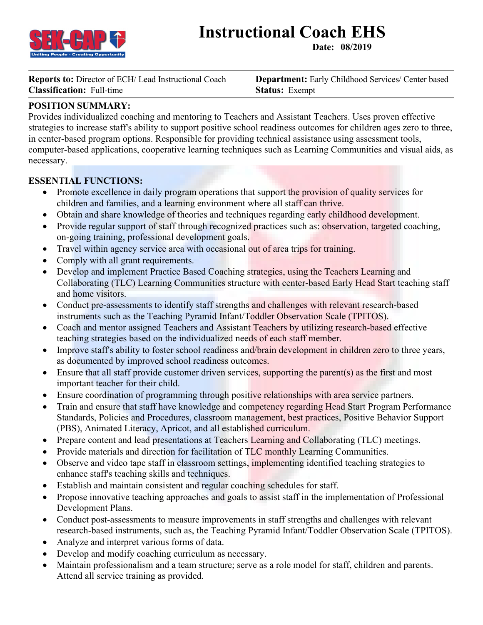

# **Instructional Coach EHS**

**Date: 08/2019**

**Reports to:** Director of ECH/ Lead Instructional Coach **Department:** Early Childhood Services/ Center based **Classification:** Full-time **Status:** Exempt

# **POSITION SUMMARY:**

Provides individualized coaching and mentoring to Teachers and Assistant Teachers. Uses proven effective strategies to increase staff's ability to support positive school readiness outcomes for children ages zero to three, in center-based program options. Responsible for providing technical assistance using assessment tools, computer-based applications, cooperative learning techniques such as Learning Communities and visual aids, as necessary.

## **ESSENTIAL FUNCTIONS:**

- Promote excellence in daily program operations that support the provision of quality services for children and families, and a learning environment where all staff can thrive.
- Obtain and share knowledge of theories and techniques regarding early childhood development.
- Provide regular support of staff through recognized practices such as: observation, targeted coaching, on-going training, professional development goals.
- Travel within agency service area with occasional out of area trips for training.
- Comply with all grant requirements.
- Develop and implement Practice Based Coaching strategies, using the Teachers Learning and Collaborating (TLC) Learning Communities structure with center-based Early Head Start teaching staff and home visitors.
- Conduct pre-assessments to identify staff strengths and challenges with relevant research-based instruments such as the Teaching Pyramid Infant/Toddler Observation Scale (TPITOS).
- Coach and mentor assigned Teachers and Assistant Teachers by utilizing research-based effective teaching strategies based on the individualized needs of each staff member.
- Improve staff's ability to foster school readiness and/brain development in children zero to three years, as documented by improved school readiness outcomes.
- Ensure that all staff provide customer driven services, supporting the parent(s) as the first and most important teacher for their child.
- Ensure coordination of programming through positive relationships with area service partners.
- Train and ensure that staff have knowledge and competency regarding Head Start Program Performance Standards, Policies and Procedures, classroom management, best practices, Positive Behavior Support (PBS), Animated Literacy, Apricot, and all established curriculum.
- Prepare content and lead presentations at Teachers Learning and Collaborating (TLC) meetings.
- Provide materials and direction for facilitation of TLC monthly Learning Communities.
- Observe and video tape staff in classroom settings, implementing identified teaching strategies to enhance staff's teaching skills and techniques.
- Establish and maintain consistent and regular coaching schedules for staff.
- Propose innovative teaching approaches and goals to assist staff in the implementation of Professional Development Plans.
- Conduct post-assessments to measure improvements in staff strengths and challenges with relevant research-based instruments, such as, the Teaching Pyramid Infant/Toddler Observation Scale (TPITOS).
- Analyze and interpret various forms of data.
- Develop and modify coaching curriculum as necessary.
- Maintain professionalism and a team structure; serve as a role model for staff, children and parents. Attend all service training as provided.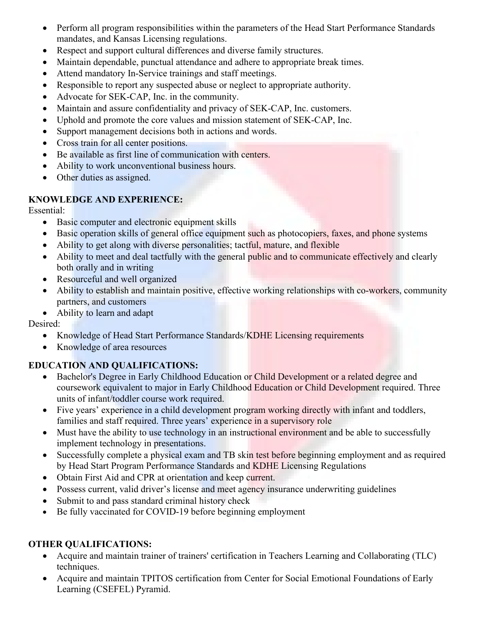- Perform all program responsibilities within the parameters of the Head Start Performance Standards mandates, and Kansas Licensing regulations.
- Respect and support cultural differences and diverse family structures.
- Maintain dependable, punctual attendance and adhere to appropriate break times.
- Attend mandatory In-Service trainings and staff meetings.
- Responsible to report any suspected abuse or neglect to appropriate authority.
- Advocate for SEK-CAP, Inc. in the community.
- Maintain and assure confidentiality and privacy of SEK-CAP, Inc. customers.
- Uphold and promote the core values and mission statement of SEK-CAP, Inc.
- Support management decisions both in actions and words.
- Cross train for all center positions.
- Be available as first line of communication with centers.
- Ability to work unconventional business hours.
- Other duties as assigned.

### **KNOWLEDGE AND EXPERIENCE:**

Essential:

- Basic computer and electronic equipment skills
- Basic operation skills of general office equipment such as photocopiers, faxes, and phone systems
- Ability to get along with diverse personalities; tactful, mature, and flexible
- Ability to meet and deal tactfully with the general public and to communicate effectively and clearly both orally and in writing
- Resourceful and well organized
- Ability to establish and maintain positive, effective working relationships with co-workers, community partners, and customers
- Ability to learn and adapt

Desired:

- Knowledge of Head Start Performance Standards/KDHE Licensing requirements
- Knowledge of area resources

## **EDUCATION AND QUALIFICATIONS:**

- Bachelor's Degree in Early Childhood Education or Child Development or a related degree and coursework equivalent to major in Early Childhood Education or Child Development required. Three units of infant/toddler course work required.
- Five years' experience in a child development program working directly with infant and toddlers, families and staff required. Three years' experience in a supervisory role
- Must have the ability to use technology in an instructional environment and be able to successfully implement technology in presentations.
- Successfully complete a physical exam and TB skin test before beginning employment and as required by Head Start Program Performance Standards and KDHE Licensing Regulations
- Obtain First Aid and CPR at orientation and keep current.
- Possess current, valid driver's license and meet agency insurance underwriting guidelines
- Submit to and pass standard criminal history check
- Be fully vaccinated for COVID-19 before beginning employment

### **OTHER QUALIFICATIONS:**

- Acquire and maintain trainer of trainers' certification in Teachers Learning and Collaborating (TLC) techniques.
- Acquire and maintain TPITOS certification from Center for Social Emotional Foundations of Early Learning (CSEFEL) Pyramid.